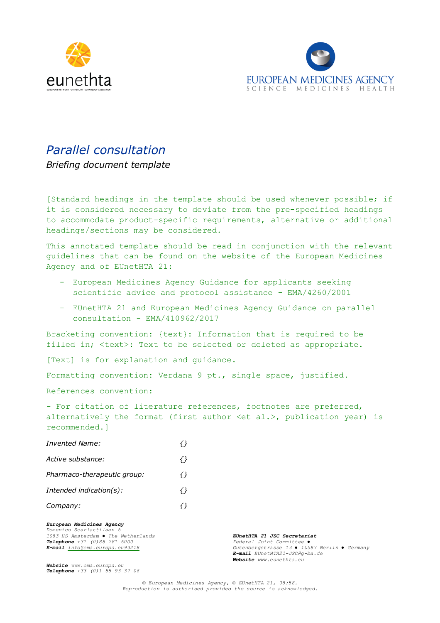



# *Parallel consultation*

*Briefing document template*

[Standard headings in the template should be used whenever possible; if it is considered necessary to deviate from the pre-specified headings to accommodate product-specific requirements, alternative or additional headings/sections may be considered.

This annotated template should be read in conjunction with the relevant guidelines that can be found on the website of the European Medicines Agency and of EUnetHTA 21:

- European Medicines Agency Guidance for applicants seeking scientific advice and protocol assistance - EMA/4260/2001
- EUnetHTA 21 and European Medicines Agency Guidance on parallel consultation - EMA/410962/2017

Bracketing convention: {text}: Information that is required to be filled in; <text>: Text to be selected or deleted as appropriate.

[Text] is for explanation and guidance.

Formatting convention: Verdana 9 pt., single space, justified.

References convention:

- For citation of literature references, footnotes are preferred, alternatively the format (first author <et al.>, publication year) is recommended.]

| Invented Name:              |     |
|-----------------------------|-----|
| Active substance:           | ⊀ } |
| Pharmaco-therapeutic group: | {}  |
| Intended indication(s):     | ⊀ } |
| Company:                    | ⇃⇂  |
|                             |     |

*European Medicines Agency Domenico Scarlattilaan 6 1083 HS Amsterdam ● The Netherlands EUnetHTA 21 JSC Secretariat*

*Telephone +31 (0)88 781 6000 Federal Joint Committee ● E-mail [info@ema.europa.eu93218](mailto:info@ema.europa.eu93218) Gutenbergstrasse 13 ● 10587 Berlin ● Germany E-mail EUnetHTA21-JSC@g-ba.de Website www.eunethta.eu*

*Website www.ema.europa.eu Telephone +33 (0)1 55 93 37 06*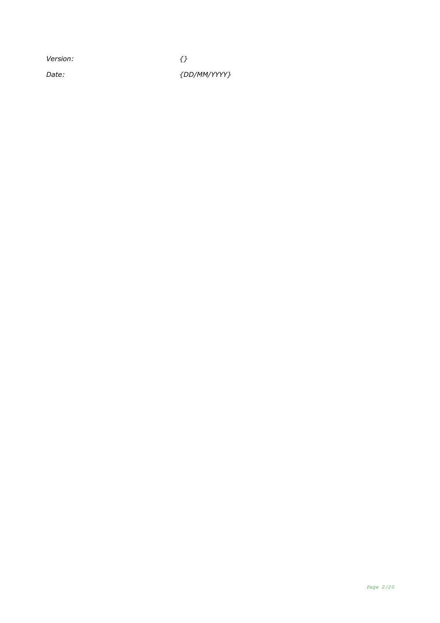*Version: {}*

*Date: {DD/MM/YYYY}*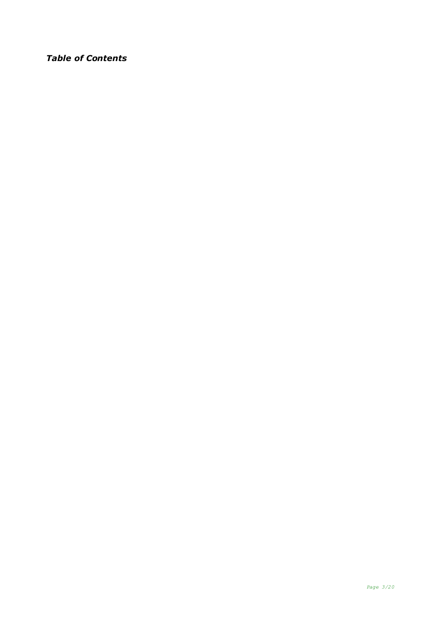## *Table of Contents*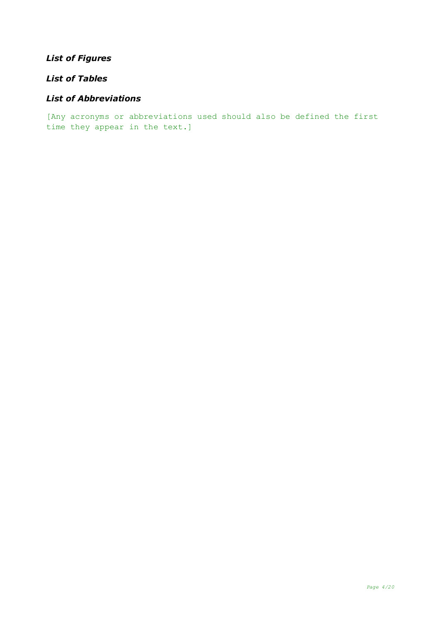# *List of Figures*

# *List of Tables*

### *List of Abbreviations*

[Any acronyms or abbreviations used should also be defined the first time they appear in the text.]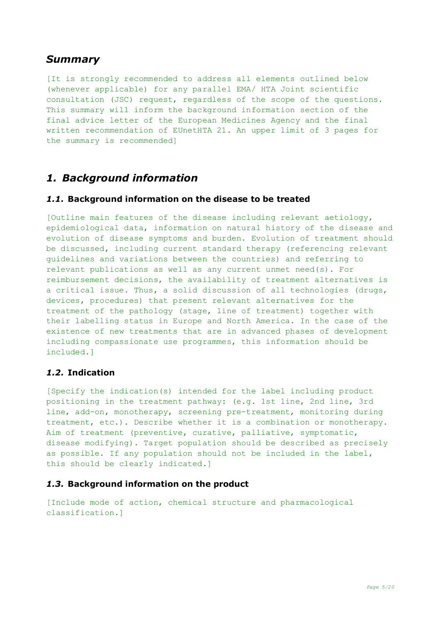# *Summary*

[It is strongly recommended to address all elements outlined below (whenever applicable) for any parallel EMA/ HTA Joint scientific consultation (JSC) request, regardless of the scope of the questions. This summary will inform the background information section of the final advice letter of the European Medicines Agency and the final written recommendation of EUnetHTA 21. An upper limit of 3 pages for the summary is recommended]

# *1. Background information*

### *1.1.* **Background information on the disease to be treated**

[Outline main features of the disease including relevant aetiology, epidemiological data, information on natural history of the disease and evolution of disease symptoms and burden. Evolution of treatment should be discussed, including current standard therapy (referencing relevant guidelines and variations between the countries) and referring to relevant publications as well as any current unmet need(s). For reimbursement decisions, the availability of treatment alternatives is a critical issue. Thus, a solid discussion of all technologies (drugs, devices, procedures) that present relevant alternatives for the treatment of the pathology (stage, line of treatment) together with their labelling status in Europe and North America. In the case of the existence of new treatments that are in advanced phases of development including compassionate use programmes, this information should be included.]

### *1.2.* **Indication**

[Specify the indication(s) intended for the label including product positioning in the treatment pathway: (e.g. 1st line, 2nd line, 3rd line, add-on, monotherapy, screening pre-treatment, monitoring during treatment, etc.). Describe whether it is a combination or monotherapy. Aim of treatment (preventive, curative, palliative, symptomatic, disease modifying). Target population should be described as precisely as possible. If any population should not be included in the label, this should be clearly indicated.]

#### *1.3.* **Background information on the product**

[Include mode of action, chemical structure and pharmacological classification.]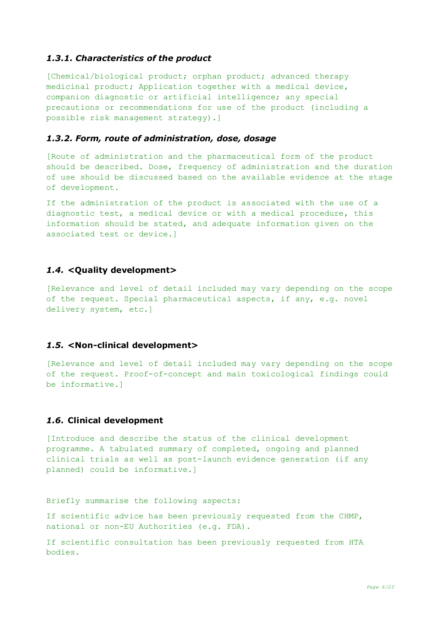#### *1.3.1. Characteristics of the product*

[Chemical/biological product; orphan product; advanced therapy medicinal product; Application together with a medical device, companion diagnostic or artificial intelligence; any special precautions or recommendations for use of the product (including a possible risk management strategy).]

#### *1.3.2. Form, route of administration, dose, dosage*

[Route of administration and the pharmaceutical form of the product should be described. Dose, frequency of administration and the duration of use should be discussed based on the available evidence at the stage of development.

If the administration of the product is associated with the use of a diagnostic test, a medical device or with a medical procedure, this information should be stated, and adequate information given on the associated test or device.]

#### *1.4.* **<Quality development>**

[Relevance and level of detail included may vary depending on the scope of the request. Special pharmaceutical aspects, if any, e.g. novel delivery system, etc.]

### *1.5.* **<Non-clinical development>**

[Relevance and level of detail included may vary depending on the scope of the request. Proof-of-concept and main toxicological findings could be informative.]

### *1.6.* **Clinical development**

[Introduce and describe the status of the clinical development programme. A tabulated summary of completed, ongoing and planned clinical trials as well as post-launch evidence generation (if any planned) could be informative.]

Briefly summarise the following aspects:

If scientific advice has been previously requested from the CHMP, national or non-EU Authorities (e.g. FDA).

If scientific consultation has been previously requested from HTA bodies.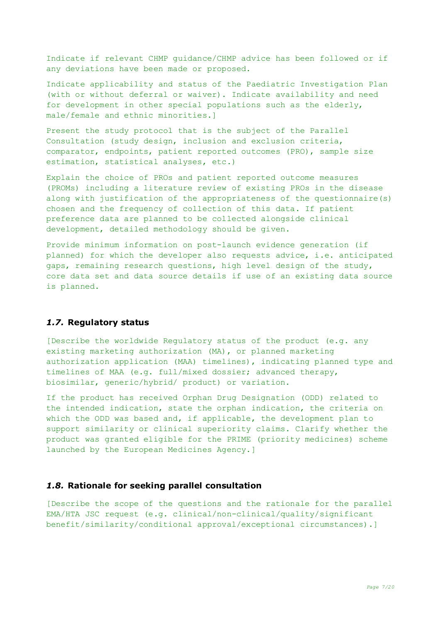Indicate if relevant CHMP guidance/CHMP advice has been followed or if any deviations have been made or proposed.

Indicate applicability and status of the Paediatric Investigation Plan (with or without deferral or waiver). Indicate availability and need for development in other special populations such as the elderly, male/female and ethnic minorities.]

Present the study protocol that is the subject of the Parallel Consultation (study design, inclusion and exclusion criteria, comparator, endpoints, patient reported outcomes (PRO), sample size estimation, statistical analyses, etc.)

Explain the choice of PROs and patient reported outcome measures (PROMs) including a literature review of existing PROs in the disease along with justification of the appropriateness of the questionnaire(s) chosen and the frequency of collection of this data. If patient preference data are planned to be collected alongside clinical development, detailed methodology should be given.

Provide minimum information on post-launch evidence generation (if planned) for which the developer also requests advice, i.e. anticipated gaps, remaining research questions, high level design of the study, core data set and data source details if use of an existing data source is planned.

#### *1.7.* **Regulatory status**

[Describe the worldwide Regulatory status of the product (e.g. any existing marketing authorization (MA), or planned marketing authorization application (MAA) timelines), indicating planned type and timelines of MAA (e.g. full/mixed dossier; advanced therapy, biosimilar, generic/hybrid/ product) or variation.

If the product has received Orphan Drug Designation (ODD) related to the intended indication, state the orphan indication, the criteria on which the ODD was based and, if applicable, the development plan to support similarity or clinical superiority claims. Clarify whether the product was granted eligible for the PRIME (priority medicines) scheme launched by the European Medicines Agency.]

#### *1.8.* **Rationale for seeking parallel consultation**

[Describe the scope of the questions and the rationale for the parallel EMA/HTA JSC request (e.g. clinical/non-clinical/quality/significant benefit/similarity/conditional approval/exceptional circumstances).]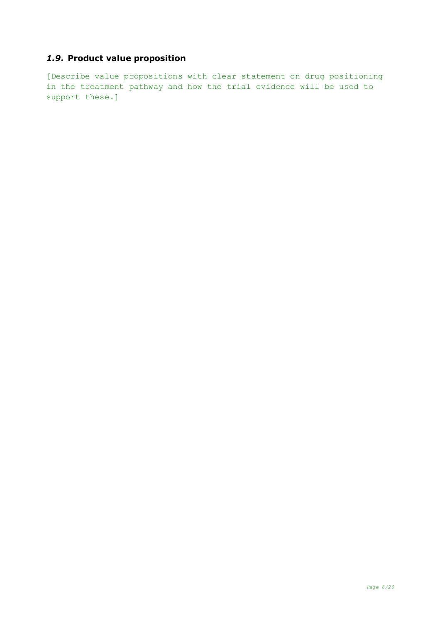# *1.9.* **Product value proposition**

[Describe value propositions with clear statement on drug positioning in the treatment pathway and how the trial evidence will be used to support these.]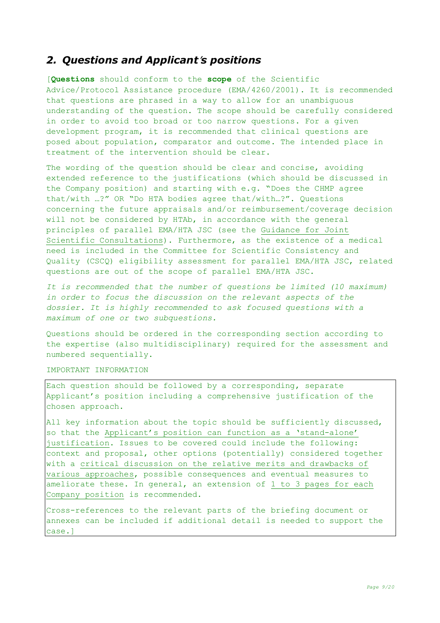# *2. Questions and Applicant*'*s positions*

[**Questions** should conform to the **scope** of the Scientific Advice/Protocol Assistance procedure (EMA/4260/2001). It is recommended that questions are phrased in a way to allow for an unambiguous understanding of the question. The scope should be carefully considered in order to avoid too broad or too narrow questions. For a given development program, it is recommended that clinical questions are posed about population, comparator and outcome. The intended place in treatment of the intervention should be clear.

The wording of the question should be clear and concise, avoiding extended reference to the justifications (which should be discussed in the Company position) and starting with e.g. "Does the CHMP agree that/with …?" OR "Do HTA bodies agree that/with…?". Questions concerning the future appraisals and/or reimbursement/coverage decision will not be considered by HTAb, in accordance with the general principles of parallel EMA/HTA JSC (see the [Guidance](https://www.ema.europa.eu/en/documents/regulatory-procedural-guideline/guidance-parallel-consultation_en.pdf) for Joint Scientific [Consultations\)](https://www.ema.europa.eu/en/documents/regulatory-procedural-guideline/guidance-parallel-consultation_en.pdf). Furthermore, as the existence of a medical need is included in the Committee for Scientific Consistency and Quality (CSCQ) eligibility assessment for parallel EMA/HTA JSC, related questions are out of the scope of parallel EMA/HTA JSC.

*It is recommended that the number of questions be limited (10 maximum) in order to focus the discussion on the relevant aspects of the dossier. It is highly recommended to ask focused questions with a maximum of one or two subquestions.*

Questions should be ordered in the corresponding section according to the expertise (also multidisciplinary) required for the assessment and numbered sequentially.

#### IMPORTANT INFORMATION

Each question should be followed by a corresponding, separate Applicant's position including a comprehensive justification of the chosen approach.

All key information about the topic should be sufficiently discussed, so that the Applicant's position can function as a 'stand-alone' justification. Issues to be covered could include the following: context and proposal, other options (potentially) considered together with a critical discussion on the relative merits and drawbacks of various approaches, possible consequences and eventual measures to ameliorate these. In general, an extension of 1 to 3 pages for each Company position is recommended.

Cross-references to the relevant parts of the briefing document or annexes can be included if additional detail is needed to support the case.]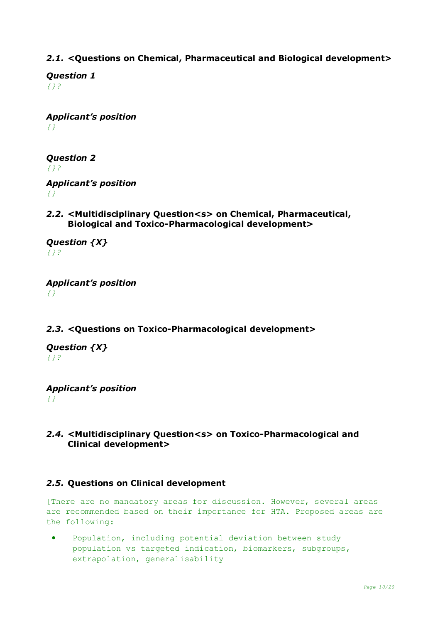# *2.1.* **<Questions on Chemical, Pharmaceutical and Biological development>**

*Question 1 {}?*

*Applicant's position {}*

*Question 2 {}?*

*Applicant's position {}*

*2.2.* **<Multidisciplinary Question<s> on Chemical, Pharmaceutical, Biological and Toxico-Pharmacological development>**

*Question {X} {}?*

*Applicant's position {}*

# *2.3.* **<Questions on Toxico-Pharmacological development>**

*Question {X} {}?*

*Applicant's position {}*

## *2.4.* **<Multidisciplinary Question<s> on Toxico-Pharmacological and Clinical development>**

## *2.5.* **Questions on Clinical development**

[There are no mandatory areas for discussion. However, several areas are recommended based on their importance for HTA. Proposed areas are the following:

• Population, including potential deviation between study population vs targeted indication, biomarkers, subgroups, extrapolation, generalisability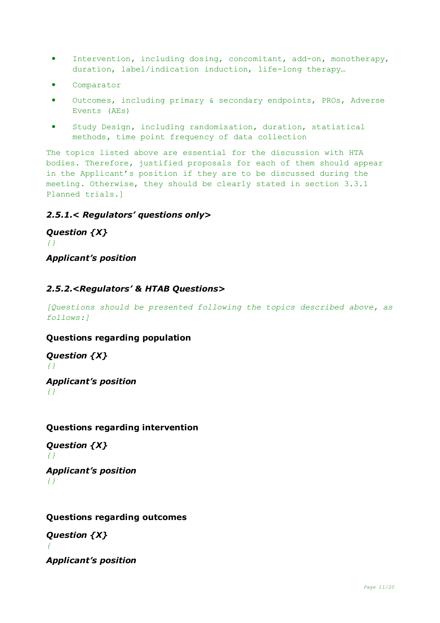- Intervention, including dosing, concomitant, add-on, monotherapy, duration, label/indication induction, life-long therapy…
- Comparator
- Outcomes, including primary & secondary endpoints, PROs, Adverse Events (AEs)
- Study Design, including randomisation, duration, statistical methods, time point frequency of data collection

The topics listed above are essential for the discussion with HTA bodies. Therefore, justified proposals for each of them should appear in the Applicant's position if they are to be discussed during the meeting. Otherwise, they should be clearly stated in section 3.3.1 Planned trials.]

### *2.5.1.< Regulators' questions only>*

*Question {X} {} Applicant's position*

### *2.5.2.<Regulators' & HTAB Questions>*

*[Questions should be presented following the topics described above, as follows:]*

### **Questions regarding population**

*Question {X} {}*

*Applicant's position {}*

### **Questions regarding intervention**

*Question {X} {}*

*Applicant's position {}*

### **Questions regarding outcomes**

*Question {X} {*

*Applicant's position*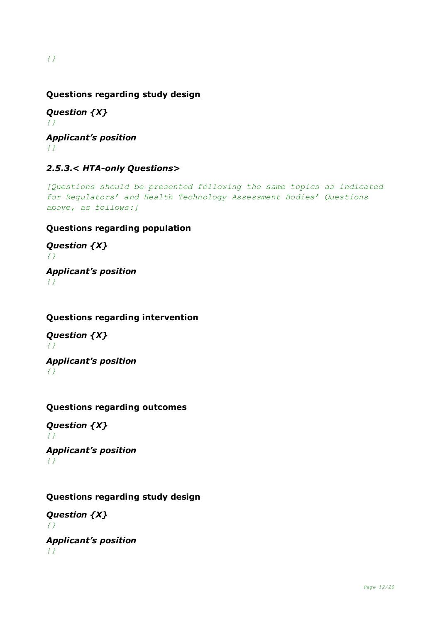# **Questions regarding study design**

*Question {X} {} Applicant's position {}*

# *2.5.3.< HTA-only Questions>*

*[Questions should be presented following the same topics as indicated for Regulators' and Health Technology Assessment Bodies' Questions above, as follows:]*

# **Questions regarding population**

*Question {X} {}*

*Applicant's position {}*

## **Questions regarding intervention**

*Question {X} {} Applicant's position*

*{}*

# **Questions regarding outcomes**

*Question {X} {} Applicant's position {}*

# **Questions regarding study design**

*Question {X} {} Applicant's position {}*

*{}*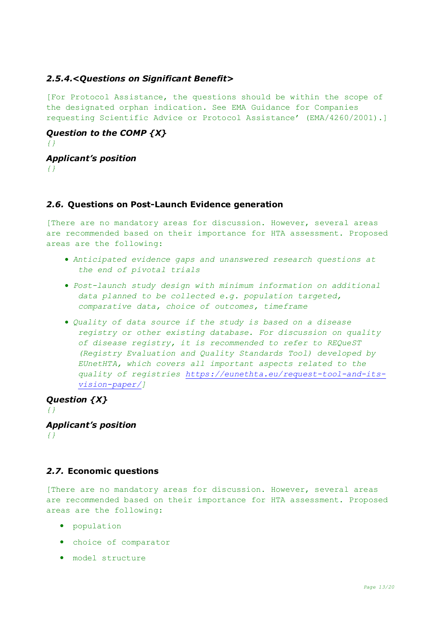## *2.5.4.<Questions on Significant Benefit>*

[For Protocol Assistance, the questions should be within the scope of the designated orphan indication. See EMA Guidance for Companies requesting Scientific Advice or Protocol Assistance' (EMA/4260/2001).]

*Question to the COMP {X} {}*

*Applicant's position {}*

## *2.6.* **Questions on Post-Launch Evidence generation**

[There are no mandatory areas for discussion. However, several areas are recommended based on their importance for HTA assessment. Proposed areas are the following:

- *Anticipated evidence gaps and unanswered research questions at the end of pivotal trials*
- *Post-launch study design with minimum information on additional data planned to be collected e.g. population targeted, comparative data, choice of outcomes, timeframe*
- *Quality of data source if the study is based on a disease registry or other existing database. For discussion on quality of disease registry, it is recommended to refer to REQueST (Registry Evaluation and Quality Standards Tool) developed by EUnetHTA, which covers all important aspects related to the quality of registries [https://eunethta.eu/request-tool-and-its](https://eunethta.eu/request-tool-and-its-vision-paper/)[vision-paper/\]](https://eunethta.eu/request-tool-and-its-vision-paper/)*

*Question {X} {} Applicant's position {}*

# *2.7.* **Economic questions**

[There are no mandatory areas for discussion. However, several areas are recommended based on their importance for HTA assessment. Proposed areas are the following:

- population
- choice of comparator
- model structure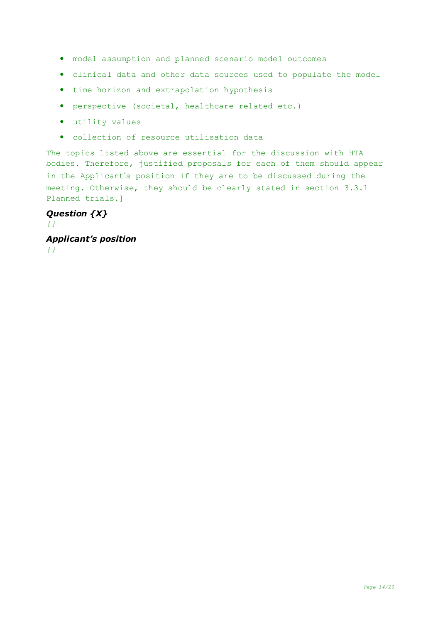- model assumption and planned scenario model outcomes
- clinical data and other data sources used to populate the model
- time horizon and extrapolation hypothesis
- perspective (societal, healthcare related etc.)
- utility values
- collection of resource utilisation data

The topics listed above are essential for the discussion with HTA bodies. Therefore, justified proposals for each of them should appear in the Applicant's position if they are to be discussed during the meeting. Otherwise, they should be clearly stated in section 3.3.1 Planned trials.]

### *Question {X} {}*

*Applicant's position {}*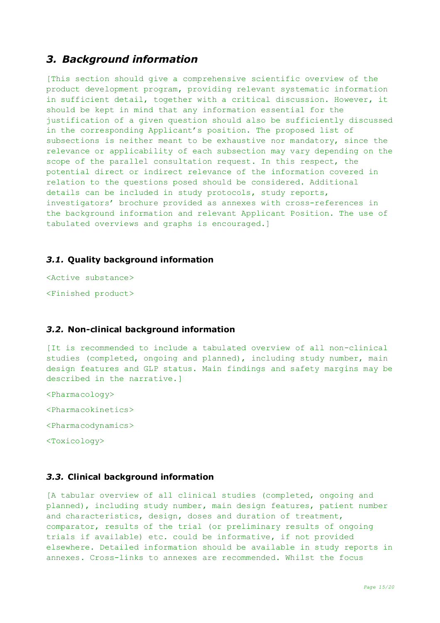# *3. Background information*

[This section should give a comprehensive scientific overview of the product development program, providing relevant systematic information in sufficient detail, together with a critical discussion. However, it should be kept in mind that any information essential for the justification of a given question should also be sufficiently discussed in the corresponding Applicant's position. The proposed list of subsections is neither meant to be exhaustive nor mandatory, since the relevance or applicability of each subsection may vary depending on the scope of the parallel consultation request. In this respect, the potential direct or indirect relevance of the information covered in relation to the questions posed should be considered. Additional details can be included in study protocols, study reports, investigators' brochure provided as annexes with cross-references in the background information and relevant Applicant Position. The use of tabulated overviews and graphs is encouraged.]

### *3.1.* **Quality background information**

<Active substance> <Finished product>

### *3.2.* **Non-clinical background information**

[It is recommended to include a tabulated overview of all non-clinical studies (completed, ongoing and planned), including study number, main design features and GLP status. Main findings and safety margins may be described in the narrative.]

<Pharmacology>

<Pharmacokinetics>

<Pharmacodynamics>

<Toxicology>

#### *3.3.* **Clinical background information**

[A tabular overview of all clinical studies (completed, ongoing and planned), including study number, main design features, patient number and characteristics, design, doses and duration of treatment, comparator, results of the trial (or preliminary results of ongoing trials if available) etc. could be informative, if not provided elsewhere. Detailed information should be available in study reports in annexes. Cross-links to annexes are recommended. Whilst the focus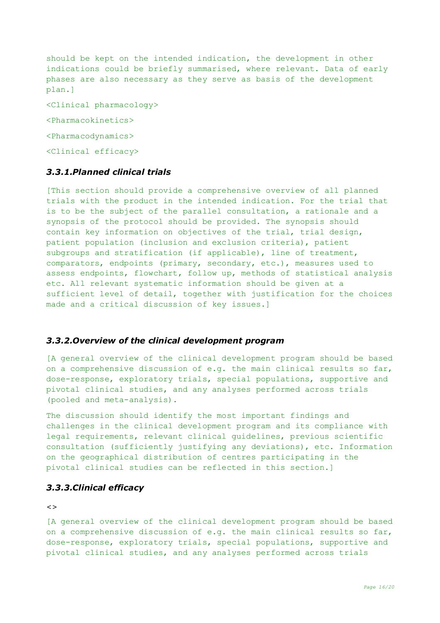should be kept on the intended indication, the development in other indications could be briefly summarised, where relevant. Data of early phases are also necessary as they serve as basis of the development plan.]

<Clinical pharmacology> <Pharmacokinetics> <Pharmacodynamics> <Clinical efficacy>

### *3.3.1.Planned clinical trials*

[This section should provide a comprehensive overview of all planned trials with the product in the intended indication. For the trial that is to be the subject of the parallel consultation, a rationale and a synopsis of the protocol should be provided. The synopsis should contain key information on objectives of the trial, trial design, patient population (inclusion and exclusion criteria), patient subgroups and stratification (if applicable), line of treatment, comparators, endpoints (primary, secondary, etc.), measures used to assess endpoints, flowchart, follow up, methods of statistical analysis etc. All relevant systematic information should be given at a sufficient level of detail, together with justification for the choices made and a critical discussion of key issues.]

#### *3.3.2.Overview of the clinical development program*

[A general overview of the clinical development program should be based on a comprehensive discussion of e.g. the main clinical results so far, dose-response, exploratory trials, special populations, supportive and pivotal clinical studies, and any analyses performed across trials (pooled and meta-analysis).

The discussion should identify the most important findings and challenges in the clinical development program and its compliance with legal requirements, relevant clinical guidelines, previous scientific consultation (sufficiently justifying any deviations), etc. Information on the geographical distribution of centres participating in the pivotal clinical studies can be reflected in this section.]

### *3.3.3.Clinical efficacy*

*<>*

[A general overview of the clinical development program should be based on a comprehensive discussion of e.g. the main clinical results so far, dose-response, exploratory trials, special populations, supportive and pivotal clinical studies, and any analyses performed across trials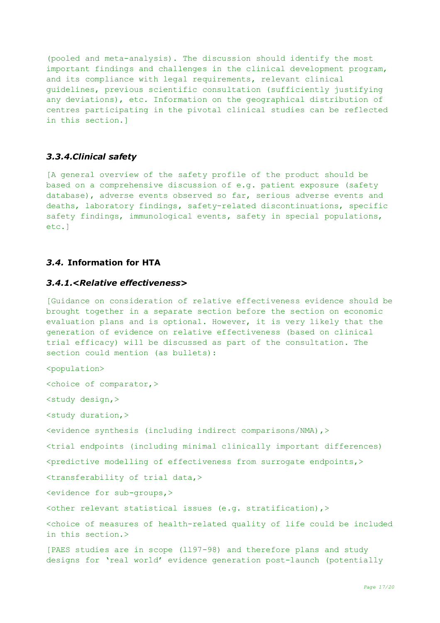(pooled and meta-analysis). The discussion should identify the most important findings and challenges in the clinical development program, and its compliance with legal requirements, relevant clinical guidelines, previous scientific consultation (sufficiently justifying any deviations), etc. Information on the geographical distribution of centres participating in the pivotal clinical studies can be reflected in this section.]

### *3.3.4.Clinical safety*

[A general overview of the safety profile of the product should be based on a comprehensive discussion of e.g. patient exposure (safety database), adverse events observed so far, serious adverse events and deaths, laboratory findings, safety-related discontinuations, specific safety findings, immunological events, safety in special populations, etc.]

### *3.4.* **Information for HTA**

#### *3.4.1.<Relative effectiveness>*

[Guidance on consideration of relative effectiveness evidence should be brought together in a separate section before the section on economic evaluation plans and is optional. However, it is very likely that the generation of evidence on relative effectiveness (based on clinical trial efficacy) will be discussed as part of the consultation. The section could mention (as bullets):

<population> <choice of comparator,> <study design,> <study duration,> <evidence synthesis (including indirect comparisons/NMA),> <trial endpoints (including minimal clinically important differences) <predictive modelling of effectiveness from surrogate endpoints,> <transferability of trial data,> <evidence for sub-groups,>  $\zeta$  relevant statistical issues (e.g. stratification),  $>$ <choice of measures of health-related quality of life could be included in this section.> [PAES studies are in scope (ll97-98) and therefore plans and study

designs for 'real world' evidence generation post-launch (potentially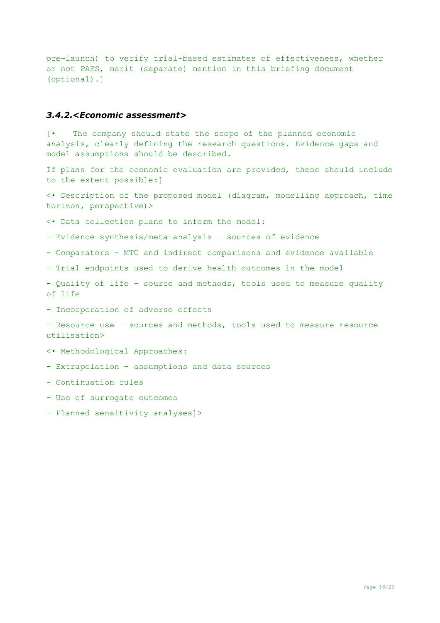pre-launch) to verify trial-based estimates of effectiveness, whether or not PAES, merit (separate) mention in this briefing document (optional).]

#### *3.4.2.<Economic assessment>*

[• The company should state the scope of the planned economic analysis, clearly defining the research questions. Evidence gaps and model assumptions should be described.

If plans for the economic evaluation are provided, these should include to the extent possible:]

<• Description of the proposed model (diagram, modelling approach, time horizon, perspective)>

<• Data collection plans to inform the model:

- Evidence synthesis/meta-analysis – sources of evidence

- Comparators – MTC and indirect comparisons and evidence available

- Trial endpoints used to derive health outcomes in the model

- Quality of life – source and methods, tools used to measure quality of life

- Incorporation of adverse effects

- Resource use – sources and methods, tools used to measure resource utilisation>

<• Methodological Approaches:

- Extrapolation – assumptions and data sources

- Continuation rules

- Use of surrogate outcomes

- Planned sensitivity analyses]>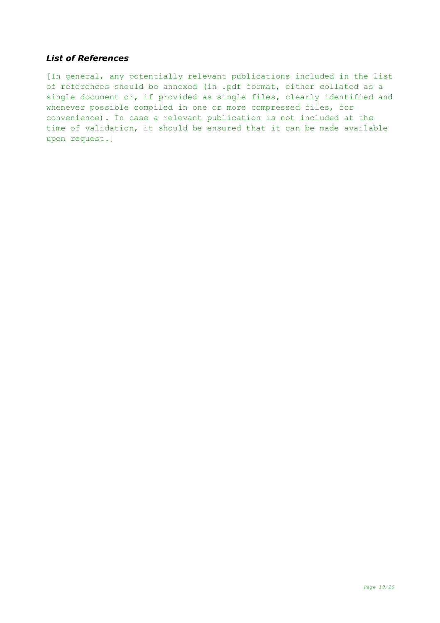### *List of References*

[In general, any potentially relevant publications included in the list of references should be annexed (in .pdf format, either collated as a single document or, if provided as single files, clearly identified and whenever possible compiled in one or more compressed files, for convenience). In case a relevant publication is not included at the time of validation, it should be ensured that it can be made available upon request.]